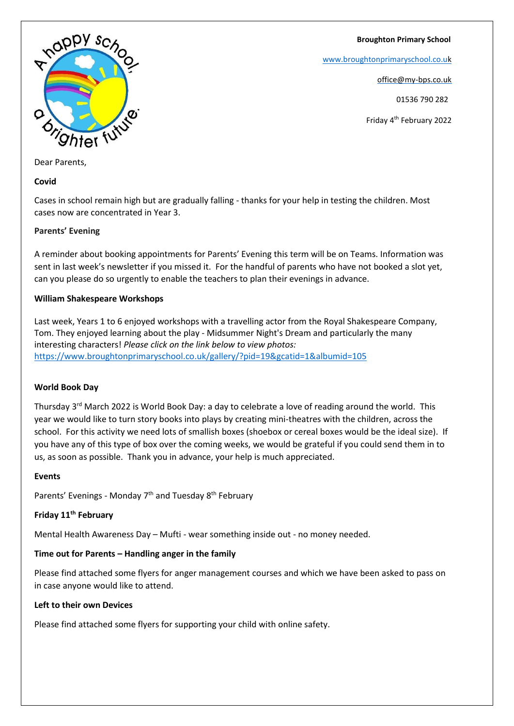**Broughton Primary School**

[www.broughtonprimaryschool.co.u](http://www.broughtonprimaryschool.co.u/)[k](http://www.broughtonprimaryschool.co.uk/)

office@my-bps.co.uk

01536 790 282

Friday 4th February 2022



Dear Parents,

### **Covid**

Cases in school remain high but are gradually falling - thanks for your help in testing the children. Most cases now are concentrated in Year 3.

### **Parents' Evening**

A reminder about booking appointments for Parents' Evening this term will be on Teams. Information was sent in last week's newsletter if you missed it. For the handful of parents who have not booked a slot yet, can you please do so urgently to enable the teachers to plan their evenings in advance.

## **William Shakespeare Workshops**

Last week, Years 1 to 6 enjoyed workshops with a travelling actor from the Royal Shakespeare Company, Tom. They enjoyed learning about the play - Midsummer Night's Dream and particularly the many interesting characters! *Please click on the link below to view photos:* <https://www.broughtonprimaryschool.co.uk/gallery/?pid=19&gcatid=1&albumid=105>

## **World Book Day**

Thursday 3rd March 2022 is World Book Day: a day to celebrate a love of reading around the world. This year we would like to turn story books into plays by creating mini-theatres with the children, across the school. For this activity we need lots of smallish boxes (shoebox or cereal boxes would be the ideal size). If you have any of this type of box over the coming weeks, we would be grateful if you could send them in to us, as soon as possible. Thank you in advance, your help is much appreciated.

#### **Events**

Parents' Evenings - Monday 7<sup>th</sup> and Tuesday 8<sup>th</sup> February

## **Friday 11th February**

Mental Health Awareness Day – Mufti - wear something inside out - no money needed.

## **Time out for Parents – Handling anger in the family**

Please find attached some flyers for anger management courses and which we have been asked to pass on in case anyone would like to attend.

#### **Left to their own Devices**

Please find attached some flyers for supporting your child with online safety.